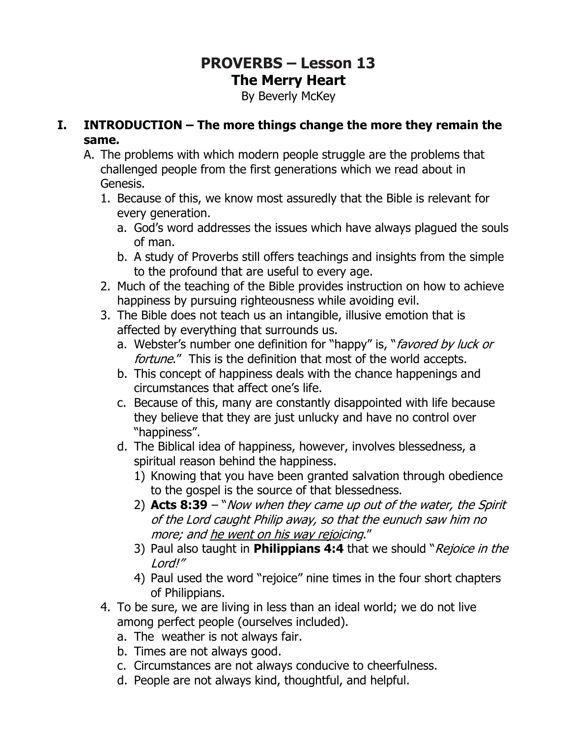# **PROVERBS – Lesson 13 The Merry Heart**

By Beverly McKey

#### **I. INTRODUCTION – The more things change the more they remain the same.**

- A. The problems with which modern people struggle are the problems that challenged people from the first generations which we read about in Genesis.
	- 1. Because of this, we know most assuredly that the Bible is relevant for every generation.
		- a. God's word addresses the issues which have always plagued the souls of man.
		- b. A study of Proverbs still offers teachings and insights from the simple to the profound that are useful to every age.
	- 2. Much of the teaching of the Bible provides instruction on how to achieve happiness by pursuing righteousness while avoiding evil.
	- 3. The Bible does not teach us an intangible, illusive emotion that is affected by everything that surrounds us.
		- a. Webster's number one definition for "happy" is, "*favored by luck or* fortune." This is the definition that most of the world accepts.
		- b. This concept of happiness deals with the chance happenings and circumstances that affect one's life.
		- c. Because of this, many are constantly disappointed with life because they believe that they are just unlucky and have no control over "happiness".
		- d. The Biblical idea of happiness, however, involves blessedness, a spiritual reason behind the happiness.
			- 1) Knowing that you have been granted salvation through obedience to the gospel is the source of that blessedness.
			- 2) **Acts 8:39** "Now when they came up out of the water, the Spirit of the Lord caught Philip away, so that the eunuch saw him no more; and he went on his way rejoicing."
			- 3) Paul also taught in **Philippians 4:4** that we should "Rejoice in the Lord!"
			- 4) Paul used the word "rejoice" nine times in the four short chapters of Philippians.
	- 4. To be sure, we are living in less than an ideal world; we do not live among perfect people (ourselves included).
		- a. The weather is not always fair.
		- b. Times are not always good.
		- c. Circumstances are not always conducive to cheerfulness.
		- d. People are not always kind, thoughtful, and helpful.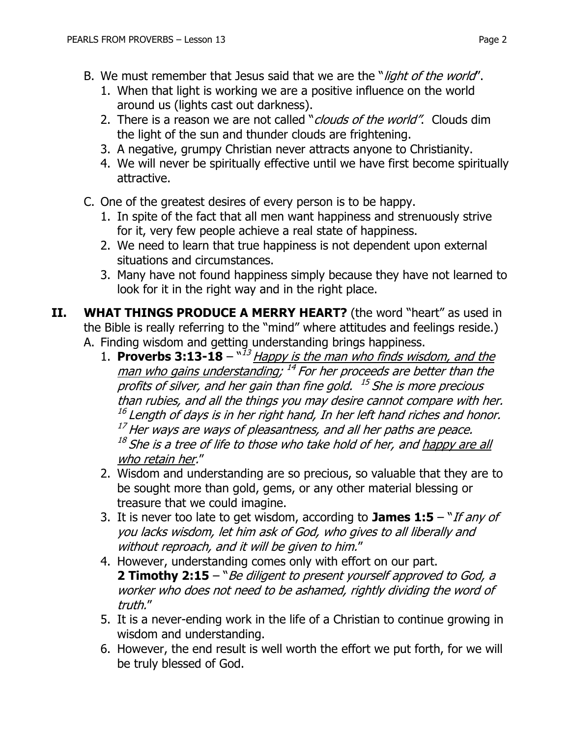- B. We must remember that Jesus said that we are the "light of the world".
	- 1. When that light is working we are a positive influence on the world around us (lights cast out darkness).
	- 2. There is a reason we are not called "*clouds of the world"*. Clouds dim the light of the sun and thunder clouds are frightening.
	- 3. A negative, grumpy Christian never attracts anyone to Christianity.
	- 4. We will never be spiritually effective until we have first become spiritually attractive.
- C. One of the greatest desires of every person is to be happy.
	- 1. In spite of the fact that all men want happiness and strenuously strive for it, very few people achieve a real state of happiness.
	- 2. We need to learn that true happiness is not dependent upon external situations and circumstances.
	- 3. Many have not found happiness simply because they have not learned to look for it in the right way and in the right place.
- **II. WHAT THINGS PRODUCE A MERRY HEART?** (the word "heart" as used in the Bible is really referring to the "mind" where attitudes and feelings reside.) A. Finding wisdom and getting understanding brings happiness.
	- 1. **Proverbs 3:13-18**  $^{\prime\prime}$ <sup>13</sup> Happy is the man who finds wisdom, and the <u>man who gains understanding</u>; <sup>14</sup> For her proceeds are better than the profits of silver, and her gain than fine gold. 15 She is more precious than rubies, and all the things you may desire cannot compare with her. <sup>16</sup> Length of days is in her right hand, In her left hand riches and honor.  $17$  Her ways are ways of pleasantness, and all her paths are peace. <sup>18</sup> She is a tree of life to those who take hold of her, and <u>happy are all</u> who retain her."
	- 2. Wisdom and understanding are so precious, so valuable that they are to be sought more than gold, gems, or any other material blessing or treasure that we could imagine.
	- 3. It is never too late to get wisdom, according to **James 1:5** "If any of you lacks wisdom, let him ask of God, who gives to all liberally and without reproach, and it will be given to him."
	- 4. However, understanding comes only with effort on our part. **2 Timothy 2:15** – "Be diligent to present yourself approved to God, a worker who does not need to be ashamed, rightly dividing the word of truth."
	- 5. It is a never-ending work in the life of a Christian to continue growing in wisdom and understanding.
	- 6. However, the end result is well worth the effort we put forth, for we will be truly blessed of God.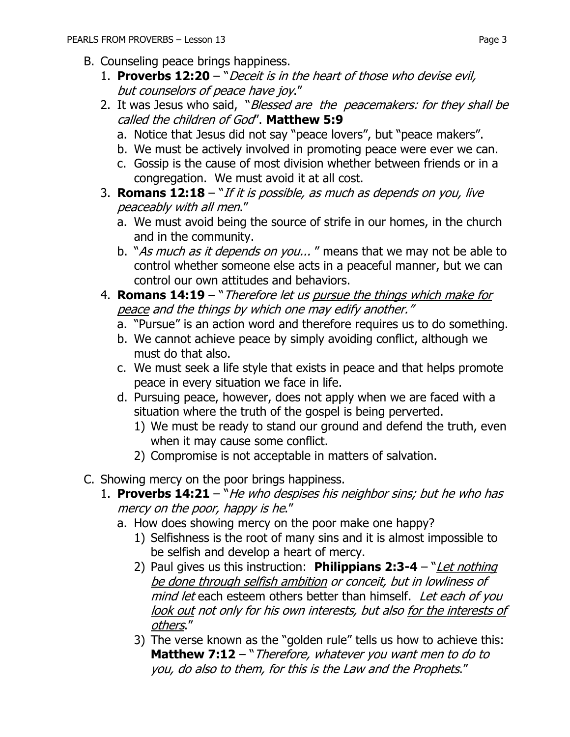- B. Counseling peace brings happiness.
	- 1. **Proverbs 12:20**  "Deceit is in the heart of those who devise evil, but counselors of peace have joy."
	- 2. It was Jesus who said, "Blessed are the peacemakers: for they shall be called the children of God". **Matthew 5:9** 
		- a. Notice that Jesus did not say "peace lovers", but "peace makers".
		- b. We must be actively involved in promoting peace were ever we can.
		- c. Gossip is the cause of most division whether between friends or in a congregation. We must avoid it at all cost.
	- 3. **Romans 12:18**  "If it is possible, as much as depends on you, live peaceably with all men."
		- a. We must avoid being the source of strife in our homes, in the church and in the community.
		- b. "As much as it depends on you..." means that we may not be able to control whether someone else acts in a peaceful manner, but we can control our own attitudes and behaviors.
	- 4. **Romans 14:19**  "Therefore let us pursue the things which make for peace and the things by which one may edify another."
		- a. "Pursue" is an action word and therefore requires us to do something.
		- b. We cannot achieve peace by simply avoiding conflict, although we must do that also.
		- c. We must seek a life style that exists in peace and that helps promote peace in every situation we face in life.
		- d. Pursuing peace, however, does not apply when we are faced with a situation where the truth of the gospel is being perverted.
			- 1) We must be ready to stand our ground and defend the truth, even when it may cause some conflict.
			- 2) Compromise is not acceptable in matters of salvation.
- C. Showing mercy on the poor brings happiness.
	- 1. **Proverbs 14:21**  "He who despises his neighbor sins; but he who has mercy on the poor, happy is he."
		- a. How does showing mercy on the poor make one happy?
			- 1) Selfishness is the root of many sins and it is almost impossible to be selfish and develop a heart of mercy.
			- 2) Paul gives us this instruction: **Philippians 2:3-4** "*Let nothing* be done through selfish ambition or conceit, but in lowliness of mind let each esteem others better than himself. Let each of you look out not only for his own interests, but also for the interests of others."
			- 3) The verse known as the "golden rule" tells us how to achieve this: **Matthew 7:12** – "Therefore, whatever you want men to do to you, do also to them, for this is the Law and the Prophets."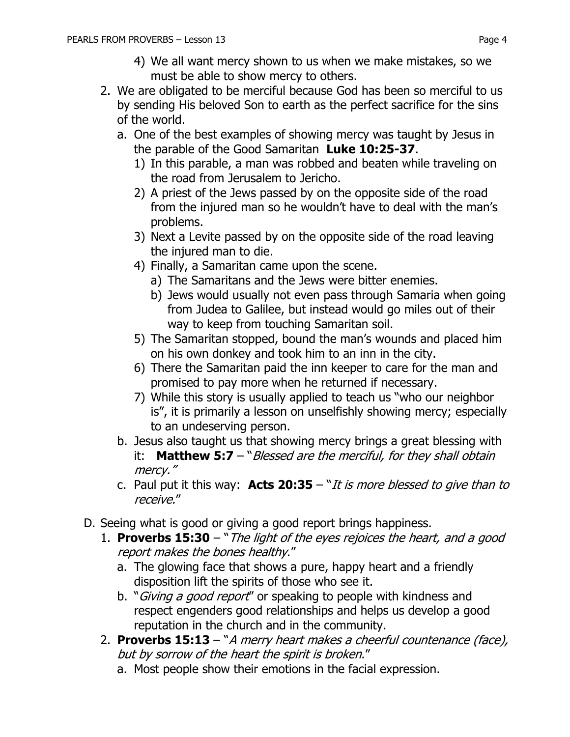- 4) We all want mercy shown to us when we make mistakes, so we must be able to show mercy to others.
- 2. We are obligated to be merciful because God has been so merciful to us by sending His beloved Son to earth as the perfect sacrifice for the sins of the world.
	- a. One of the best examples of showing mercy was taught by Jesus in the parable of the Good Samaritan **Luke 10:25-37**.
		- 1) In this parable, a man was robbed and beaten while traveling on the road from Jerusalem to Jericho.
		- 2) A priest of the Jews passed by on the opposite side of the road from the injured man so he wouldn't have to deal with the man's problems.
		- 3) Next a Levite passed by on the opposite side of the road leaving the injured man to die.
		- 4) Finally, a Samaritan came upon the scene.
			- a) The Samaritans and the Jews were bitter enemies.
			- b) Jews would usually not even pass through Samaria when going from Judea to Galilee, but instead would go miles out of their way to keep from touching Samaritan soil.
		- 5) The Samaritan stopped, bound the man's wounds and placed him on his own donkey and took him to an inn in the city.
		- 6) There the Samaritan paid the inn keeper to care for the man and promised to pay more when he returned if necessary.
		- 7) While this story is usually applied to teach us "who our neighbor is", it is primarily a lesson on unselfishly showing mercy; especially to an undeserving person.
	- b. Jesus also taught us that showing mercy brings a great blessing with it: **Matthew 5:7** – "Blessed are the merciful, for they shall obtain mercy."
	- c. Paul put it this way: **Acts 20:35**  "It is more blessed to give than to receive."
- D. Seeing what is good or giving a good report brings happiness.
	- 1. **Proverbs 15:30** "The light of the eyes rejoices the heart, and a good report makes the bones healthy."
		- a. The glowing face that shows a pure, happy heart and a friendly disposition lift the spirits of those who see it.
		- b. "Giving a good report" or speaking to people with kindness and respect engenders good relationships and helps us develop a good reputation in the church and in the community.
	- 2. **Proverbs 15:13**  "A merry heart makes a cheerful countenance (face), but by sorrow of the heart the spirit is broken."
		- a. Most people show their emotions in the facial expression.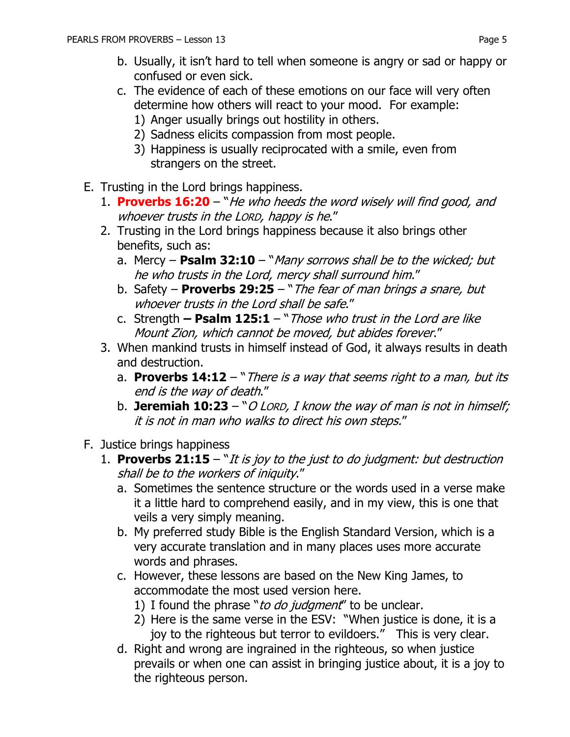- b. Usually, it isn't hard to tell when someone is angry or sad or happy or confused or even sick.
- c. The evidence of each of these emotions on our face will very often determine how others will react to your mood. For example:
	- 1) Anger usually brings out hostility in others.
	- 2) Sadness elicits compassion from most people.
	- 3) Happiness is usually reciprocated with a smile, even from strangers on the street.
- E. Trusting in the Lord brings happiness.
	- 1. **Proverbs 16:20** "He who heeds the word wisely will find good, and whoever trusts in the LORD, happy is he."
	- 2. Trusting in the Lord brings happiness because it also brings other benefits, such as:
		- a. Mercy **Psalm 32:10**  "Many sorrows shall be to the wicked; but he who trusts in the Lord, mercy shall surround him."
		- b. Safety **Proverbs 29:25**  "The fear of man brings a snare, but whoever trusts in the Lord shall be safe."
		- c. Strength **– Psalm 125:1**  "Those who trust in the Lord are like Mount Zion, which cannot be moved, but abides forever."
	- 3. When mankind trusts in himself instead of God, it always results in death and destruction.
		- a. **Proverbs 14:12** "There is a way that seems right to a man, but its end is the way of death."
		- b. **Jeremiah 10:23**  "O LORD, I know the way of man is not in himself; it is not in man who walks to direct his own steps."
- F. Justice brings happiness
	- 1. **Proverbs 21:15**  "It is joy to the just to do judgment: but destruction shall be to the workers of iniquity."
		- a. Sometimes the sentence structure or the words used in a verse make it a little hard to comprehend easily, and in my view, this is one that veils a very simply meaning.
		- b. My preferred study Bible is the English Standard Version, which is a very accurate translation and in many places uses more accurate words and phrases.
		- c. However, these lessons are based on the New King James, to accommodate the most used version here.
			- 1) I found the phrase "to do judgment" to be unclear.
			- 2) Here is the same verse in the ESV: "When justice is done, it is a joy to the righteous but terror to evildoers." This is very clear.
		- d. Right and wrong are ingrained in the righteous, so when justice prevails or when one can assist in bringing justice about, it is a joy to the righteous person.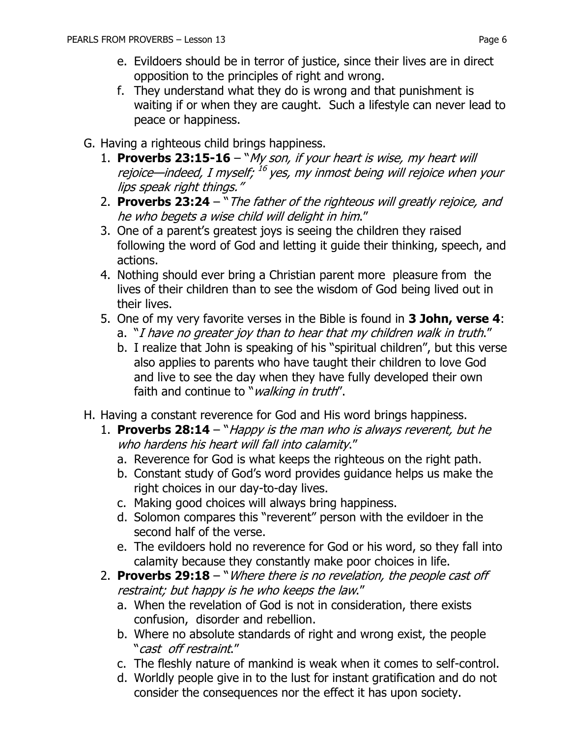- e. Evildoers should be in terror of justice, since their lives are in direct opposition to the principles of right and wrong.
- f. They understand what they do is wrong and that punishment is waiting if or when they are caught. Such a lifestyle can never lead to peace or happiness.
- G. Having a righteous child brings happiness.
	- 1. **Proverbs 23:15-16**  "My son, if your heart is wise, my heart will rejoice—indeed, I myself; <sup>16</sup> yes, my inmost being will rejoice when your lips speak right things."
	- 2. **Proverbs 23:24**  "The father of the righteous will greatly rejoice, and he who begets a wise child will delight in him."
	- 3. One of a parent's greatest joys is seeing the children they raised following the word of God and letting it guide their thinking, speech, and actions.
	- 4. Nothing should ever bring a Christian parent more pleasure from the lives of their children than to see the wisdom of God being lived out in their lives.
	- 5. One of my very favorite verses in the Bible is found in **3 John, verse 4**:
		- a. "I have no greater joy than to hear that my children walk in truth."
		- b. I realize that John is speaking of his "spiritual children", but this verse also applies to parents who have taught their children to love God and live to see the day when they have fully developed their own faith and continue to "*walking in truth*".
- H. Having a constant reverence for God and His word brings happiness.
	- 1. **Proverbs 28:14**  "Happy is the man who is always reverent, but he who hardens his heart will fall into calamity."
		- a. Reverence for God is what keeps the righteous on the right path.
		- b. Constant study of God's word provides guidance helps us make the right choices in our day-to-day lives.
		- c. Making good choices will always bring happiness.
		- d. Solomon compares this "reverent" person with the evildoer in the second half of the verse.
		- e. The evildoers hold no reverence for God or his word, so they fall into calamity because they constantly make poor choices in life.
	- 2. **Proverbs 29:18**  "Where there is no revelation, the people cast off restraint; but happy is he who keeps the law."
		- a. When the revelation of God is not in consideration, there exists confusion, disorder and rebellion.
		- b. Where no absolute standards of right and wrong exist, the people "cast off restraint."
		- c. The fleshly nature of mankind is weak when it comes to self-control.
		- d. Worldly people give in to the lust for instant gratification and do not consider the consequences nor the effect it has upon society.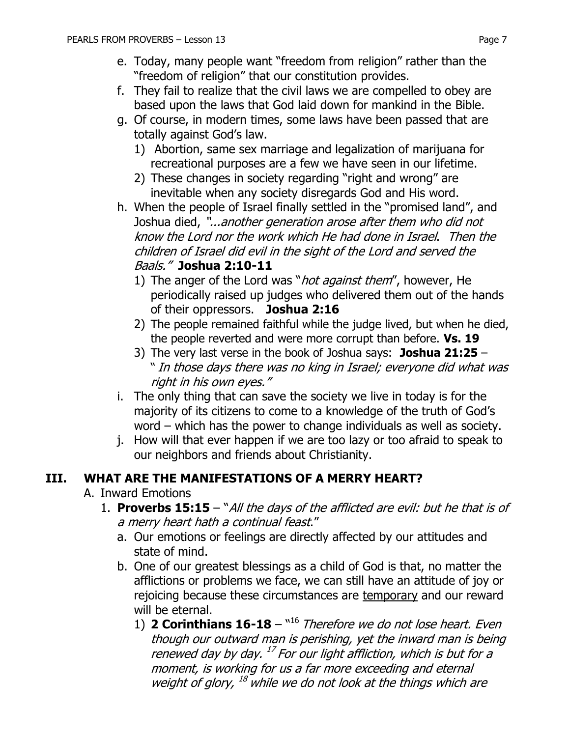- e. Today, many people want "freedom from religion" rather than the "freedom of religion" that our constitution provides.
- f. They fail to realize that the civil laws we are compelled to obey are based upon the laws that God laid down for mankind in the Bible.
- g. Of course, in modern times, some laws have been passed that are totally against God's law.
	- 1) Abortion, same sex marriage and legalization of marijuana for recreational purposes are a few we have seen in our lifetime.
	- 2) These changes in society regarding "right and wrong" are inevitable when any society disregards God and His word.
- h. When the people of Israel finally settled in the "promised land", and Joshua died, "...another generation arose after them who did not know the Lord nor the work which He had done in Israel. Then the children of Israel did evil in the sight of the Lord and served the Baals." **Joshua 2:10-11**
	- 1) The anger of the Lord was "*hot against them"*, however, He periodically raised up judges who delivered them out of the hands of their oppressors. **Joshua 2:16**
	- 2) The people remained faithful while the judge lived, but when he died, the people reverted and were more corrupt than before. **Vs. 19**
	- 3) The very last verse in the book of Joshua says: **Joshua 21:25**  " In those days there was no king in Israel; everyone did what was right in his own eyes."
- i. The only thing that can save the society we live in today is for the majority of its citizens to come to a knowledge of the truth of God's word – which has the power to change individuals as well as society.
- j. How will that ever happen if we are too lazy or too afraid to speak to our neighbors and friends about Christianity.

### **III. WHAT ARE THE MANIFESTATIONS OF A MERRY HEART?**

- A. Inward Emotions
	- 1. **Proverbs 15:15**  "All the days of the afflicted are evil: but he that is of a merry heart hath a continual feast."
		- a. Our emotions or feelings are directly affected by our attitudes and state of mind.
		- b. One of our greatest blessings as a child of God is that, no matter the afflictions or problems we face, we can still have an attitude of joy or rejoicing because these circumstances are temporary and our reward will be eternal.
			- 1) **2 Corinthians 16-18** "<sup>16</sup> Therefore we do not lose heart. Even though our outward man is perishing, yet the inward man is being renewed day by day. <sup>17</sup> For our light affliction, which is but for a moment, is working for us a far more exceeding and eternal weight of glory, <sup>18</sup> while we do not look at the things which are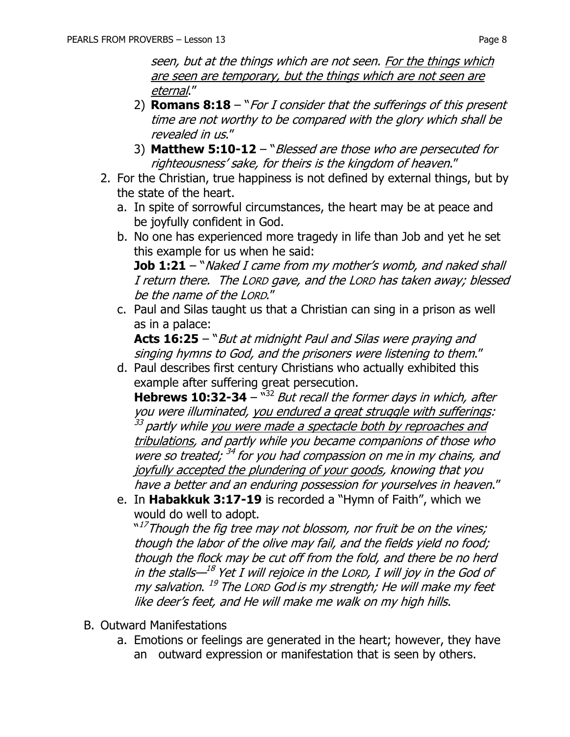seen, but at the things which are not seen. For the things which are seen are temporary, but the things which are not seen are eternal."

- 2) **Romans 8:18** "For I consider that the sufferings of this present time are not worthy to be compared with the glory which shall be revealed in us."
- 3) **Matthew 5:10-12** "Blessed are those who are persecuted for righteousness' sake, for theirs is the kingdom of heaven."
- 2. For the Christian, true happiness is not defined by external things, but by the state of the heart.
	- a. In spite of sorrowful circumstances, the heart may be at peace and be joyfully confident in God.
	- b. No one has experienced more tragedy in life than Job and yet he set this example for us when he said: **Job 1:21** – "*Naked I came from my mother's womb, and naked shall* I return there. The LORD gave, and the LORD has taken away; blessed
	- be the name of the LORD." c. Paul and Silas taught us that a Christian can sing in a prison as well as in a palace:

**Acts 16:25** – "But at midnight Paul and Silas were praying and singing hymns to God, and the prisoners were listening to them."

d. Paul describes first century Christians who actually exhibited this example after suffering great persecution.

**Hebrews 10:32-34** – "<sup>32</sup> But recall the former days in which, after you were illuminated, you endured a great struggle with sufferings: <sup>33</sup> partly while <u>you were made a spectacle both by reproaches and</u> tribulations, and partly while you became companions of those who were so treated; <sup>34</sup> for you had compassion on me in my chains, and joyfully accepted the plundering of your goods, knowing that you have a better and an enduring possession for yourselves in heaven."

e. In **Habakkuk 3:17-19** is recorded a "Hymn of Faith", which we would do well to adopt.

<sup>"17</sup>Though the fig tree may not blossom, nor fruit be on the vines;" though the labor of the olive may fail, and the fields yield no food; though the flock may be cut off from the fold, and there be no herd in the stalls—<sup>18</sup> Yet I will rejoice in the LORD, I will joy in the God of my salvation. <sup>19</sup> The Lorp God is my strength; He will make my feet like deer's feet, and He will make me walk on my high hills.

- B. Outward Manifestations
	- a. Emotions or feelings are generated in the heart; however, they have an outward expression or manifestation that is seen by others.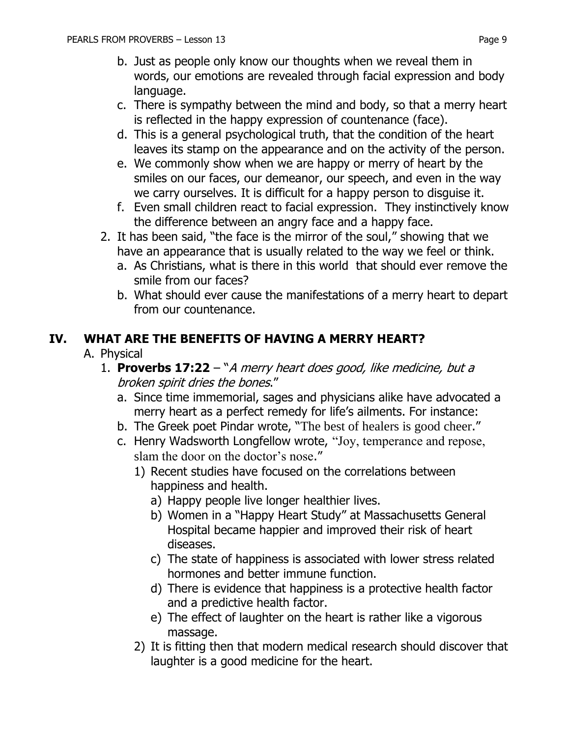- b. Just as people only know our thoughts when we reveal them in words, our emotions are revealed through facial expression and body language.
- c. There is sympathy between the mind and body, so that a merry heart is reflected in the happy expression of countenance (face).
- d. This is a general psychological truth, that the condition of the heart leaves its stamp on the appearance and on the activity of the person.
- e. We commonly show when we are happy or merry of heart by the smiles on our faces, our demeanor, our speech, and even in the way we carry ourselves. It is difficult for a happy person to disguise it.
- f. Even small children react to facial expression. They instinctively know the difference between an angry face and a happy face.
- 2. It has been said, "the face is the mirror of the soul," showing that we have an appearance that is usually related to the way we feel or think.
	- a. As Christians, what is there in this world that should ever remove the smile from our faces?
	- b. What should ever cause the manifestations of a merry heart to depart from our countenance.

### **IV. WHAT ARE THE BENEFITS OF HAVING A MERRY HEART?**

#### A. Physical

- 1. **Proverbs 17:22** "A merry heart does good, like medicine, but a broken spirit dries the bones."
	- a. Since time immemorial, sages and physicians alike have advocated a merry heart as a perfect remedy for life's ailments. For instance:
	- b. The Greek poet Pindar wrote, "The best of healers is good cheer."
	- c. Henry Wadsworth Longfellow wrote, "Joy, temperance and repose, slam the door on the doctor's nose."
		- 1) Recent studies have focused on the correlations between happiness and health.
			- a) Happy people live longer healthier lives.
			- b) Women in a "Happy Heart Study" at Massachusetts General Hospital became happier and improved their risk of heart diseases.
			- c) The state of happiness is associated with lower stress related hormones and better immune function.
			- d) There is evidence that happiness is a protective health factor and a predictive health factor.
			- e) The effect of laughter on the heart is rather like a vigorous massage.
		- 2) It is fitting then that modern medical research should discover that laughter is a good medicine for the heart.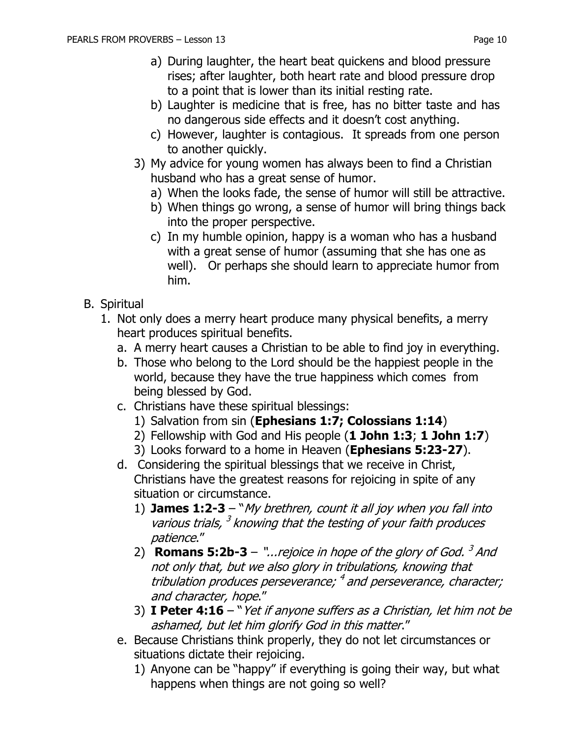- a) During laughter, the heart beat quickens and blood pressure rises; after laughter, both heart rate and blood pressure drop to a point that is lower than its initial resting rate.
- b) Laughter is medicine that is free, has no bitter taste and has no dangerous side effects and it doesn't cost anything.
- c) However, laughter is contagious. It spreads from one person to another quickly.
- 3) My advice for young women has always been to find a Christian husband who has a great sense of humor.
	- a) When the looks fade, the sense of humor will still be attractive.
	- b) When things go wrong, a sense of humor will bring things back into the proper perspective.
	- c) In my humble opinion, happy is a woman who has a husband with a great sense of humor (assuming that she has one as well). Or perhaps she should learn to appreciate humor from him.
- B. Spiritual
	- 1. Not only does a merry heart produce many physical benefits, a merry heart produces spiritual benefits.
		- a. A merry heart causes a Christian to be able to find joy in everything.
		- b. Those who belong to the Lord should be the happiest people in the world, because they have the true happiness which comes from being blessed by God.
		- c. Christians have these spiritual blessings:
			- 1) Salvation from sin (**Ephesians 1:7; Colossians 1:14**)
			- 2) Fellowship with God and His people (**1 John 1:3**; **1 John 1:7**)
			- 3) Looks forward to a home in Heaven (**Ephesians 5:23-27**).
		- d. Considering the spiritual blessings that we receive in Christ, Christians have the greatest reasons for rejoicing in spite of any situation or circumstance.
			- 1) **James 1:2-3**  "My brethren, count it all joy when you fall into various trials,  $3$  knowing that the testing of your faith produces patience."
			- 2) **Romans 5:2b-3** "...rejoice in hope of the glory of God.<sup>3</sup> And not only that, but we also glory in tribulations, knowing that tribulation produces perseverance; <sup>4</sup> and perseverance, character; and character, hope."
			- 3) **I Peter 4:16**  "Yet if anyone suffers as a Christian, let him not be ashamed, but let him glorify God in this matter."
		- e. Because Christians think properly, they do not let circumstances or situations dictate their rejoicing.
			- 1) Anyone can be "happy" if everything is going their way, but what happens when things are not going so well?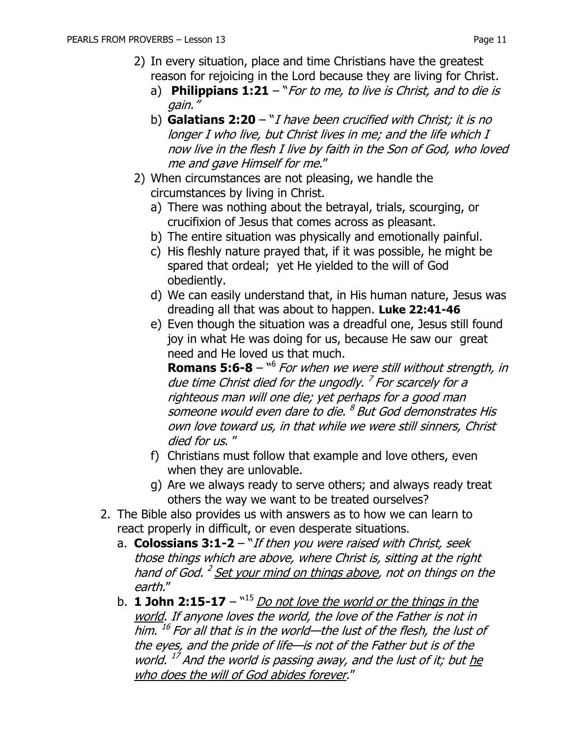- 2) In every situation, place and time Christians have the greatest reason for rejoicing in the Lord because they are living for Christ.
	- a) **Philippians 1:21**  "For to me, to live is Christ, and to die is gain."
	- b) **Galatians 2:20**  "I have been crucified with Christ; it is no longer I who live, but Christ lives in me; and the life which I now live in the flesh I live by faith in the Son of God, who loved me and gave Himself for me."
- 2) When circumstances are not pleasing, we handle the circumstances by living in Christ.
	- a) There was nothing about the betrayal, trials, scourging, or crucifixion of Jesus that comes across as pleasant.
	- b) The entire situation was physically and emotionally painful.
	- c) His fleshly nature prayed that, if it was possible, he might be spared that ordeal; yet He yielded to the will of God obediently.
	- d) We can easily understand that, in His human nature, Jesus was dreading all that was about to happen. **Luke 22:41-46**
	- e) Even though the situation was a dreadful one, Jesus still found joy in what He was doing for us, because He saw our great need and He loved us that much.

**Romans 5:6-8** – <sup>16</sup> For when we were still without strength, in due time Christ died for the ungodly.<sup>7</sup> For scarcely for a righteous man will one die; yet perhaps for a good man someone would even dare to die. <sup>8</sup> But God demonstrates His own love toward us, in that while we were still sinners, Christ died for us. "

- f) Christians must follow that example and love others, even when they are unlovable.
- g) Are we always ready to serve others; and always ready treat others the way we want to be treated ourselves?
- 2. The Bible also provides us with answers as to how we can learn to react properly in difficult, or even desperate situations.
	- a. **Colossians 3:1-2**  "If then you were raised with Christ, seek those things which are above, where Christ is, sitting at the right hand of God. <sup>2</sup> <u>Set your mind on things above</u>, not on things on the earth."
	- b. **1 John 2:15-17**  $^{\text{m15}}$  *Do not love the world or the things in the* world. If anyone loves the world, the love of the Father is not in him. <sup>16</sup> For all that is in the world—the lust of the flesh, the lust of the eyes, and the pride of life—is not of the Father but is of the world. <sup>17</sup> And the world is passing away, and the lust of it; but <u>he</u> who does the will of God abides forever."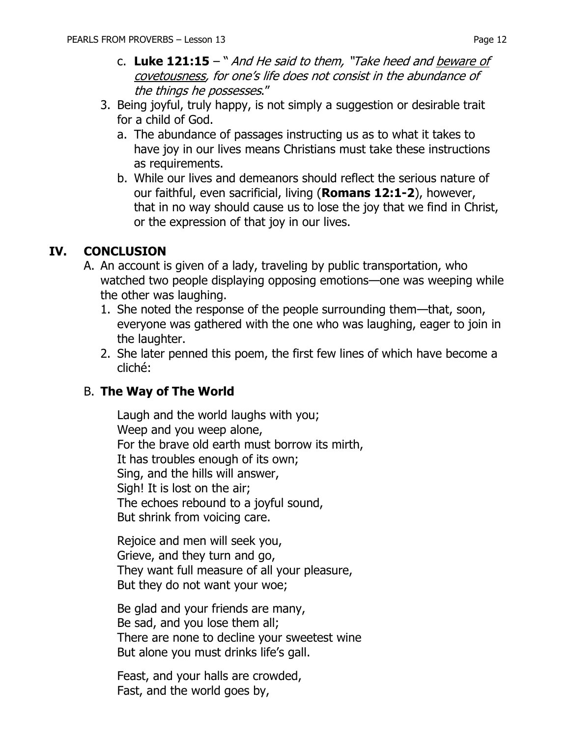- c. Luke 121:15 " And He said to them, "Take heed and beware of covetousness, for one's life does not consist in the abundance of the things he possesses."
- 3. Being joyful, truly happy, is not simply a suggestion or desirable trait for a child of God.
	- a. The abundance of passages instructing us as to what it takes to have joy in our lives means Christians must take these instructions as requirements.
	- b. While our lives and demeanors should reflect the serious nature of our faithful, even sacrificial, living (**Romans 12:1-2**), however, that in no way should cause us to lose the joy that we find in Christ, or the expression of that joy in our lives.

## **IV. CONCLUSION**

- A. An account is given of a lady, traveling by public transportation, who watched two people displaying opposing emotions—one was weeping while the other was laughing.
	- 1. She noted the response of the people surrounding them—that, soon, everyone was gathered with the one who was laughing, eager to join in the laughter.
	- 2. She later penned this poem, the first few lines of which have become a cliché:

### B. **The Way of The World**

Laugh and the world laughs with you; Weep and you weep alone, For the brave old earth must borrow its mirth, It has troubles enough of its own; Sing, and the hills will answer, Sigh! It is lost on the air; The echoes rebound to a joyful sound, But shrink from voicing care.

Rejoice and men will seek you, Grieve, and they turn and go, They want full measure of all your pleasure, But they do not want your woe;

Be glad and your friends are many, Be sad, and you lose them all; There are none to decline your sweetest wine But alone you must drinks life's gall.

Feast, and your halls are crowded, Fast, and the world goes by,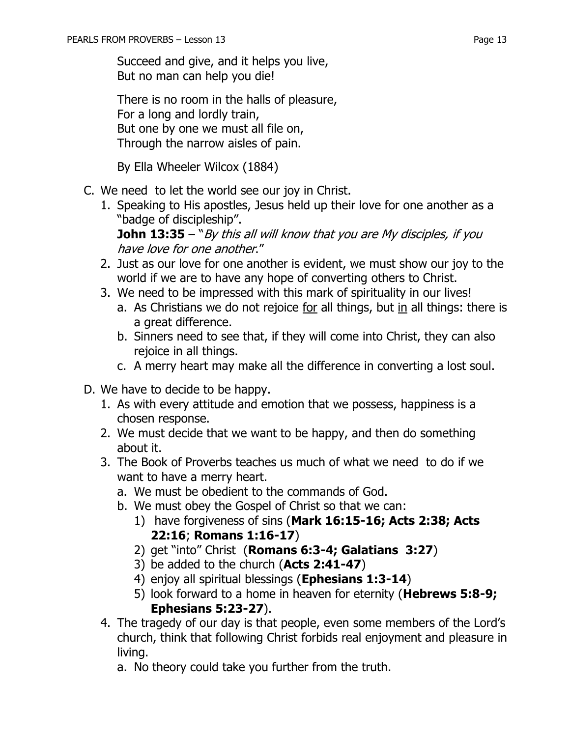There is no room in the halls of pleasure, For a long and lordly train, But one by one we must all file on, Through the narrow aisles of pain.

By Ella Wheeler Wilcox (1884)

- C. We need to let the world see our joy in Christ.
	- 1. Speaking to His apostles, Jesus held up their love for one another as a "badge of discipleship".

**John 13:35** – "By this all will know that you are My disciples, if you have love for one another."

- 2. Just as our love for one another is evident, we must show our joy to the world if we are to have any hope of converting others to Christ.
- 3. We need to be impressed with this mark of spirituality in our lives!
	- a. As Christians we do not rejoice for all things, but in all things: there is a great difference.
	- b. Sinners need to see that, if they will come into Christ, they can also rejoice in all things.
	- c. A merry heart may make all the difference in converting a lost soul.
- D. We have to decide to be happy.
	- 1. As with every attitude and emotion that we possess, happiness is a chosen response.
	- 2. We must decide that we want to be happy, and then do something about it.
	- 3. The Book of Proverbs teaches us much of what we need to do if we want to have a merry heart.
		- a. We must be obedient to the commands of God.
		- b. We must obey the Gospel of Christ so that we can:
			- 1) have forgiveness of sins (**Mark 16:15-16; Acts 2:38; Acts 22:16**; **Romans 1:16-17**)
			- 2) get "into" Christ (**Romans 6:3-4; Galatians 3:27**)
			- 3) be added to the church (**Acts 2:41-47**)
			- 4) enjoy all spiritual blessings (**Ephesians 1:3-14**)
			- 5) look forward to a home in heaven for eternity (**Hebrews 5:8-9; Ephesians 5:23-27**).
	- 4. The tragedy of our day is that people, even some members of the Lord's church, think that following Christ forbids real enjoyment and pleasure in living.
		- a. No theory could take you further from the truth.